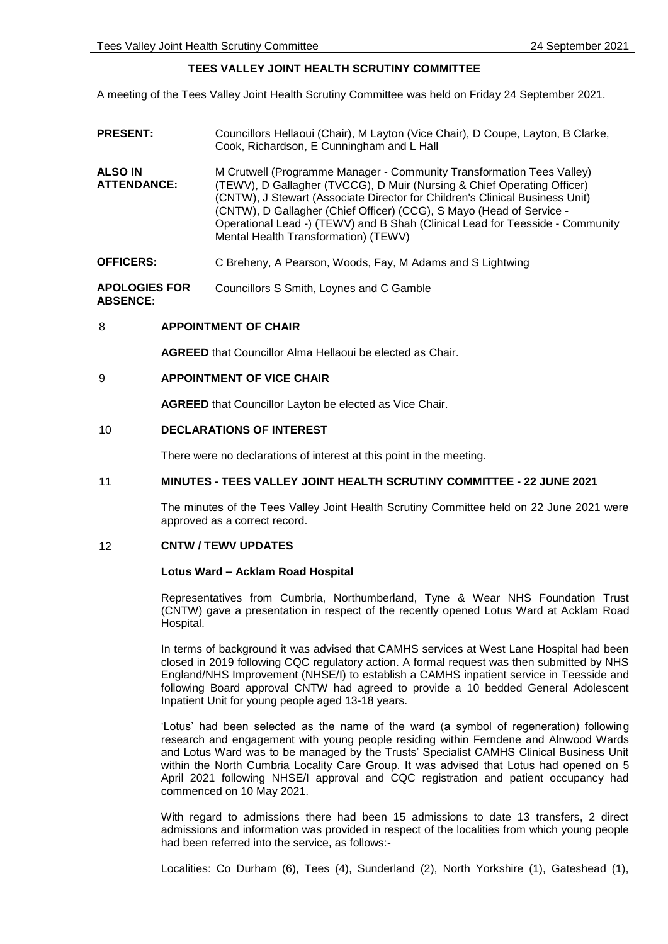# **TEES VALLEY JOINT HEALTH SCRUTINY COMMITTEE**

A meeting of the Tees Valley Joint Health Scrutiny Committee was held on Friday 24 September 2021.

| <b>PRESENT:</b>               | Councillors Hellaoui (Chair), M Layton (Vice Chair), D Coupe, Layton, B Clarke,<br>Cook, Richardson, E Cunningham and L Hall                                                                                                                                                                                                                                                                                                      |
|-------------------------------|-----------------------------------------------------------------------------------------------------------------------------------------------------------------------------------------------------------------------------------------------------------------------------------------------------------------------------------------------------------------------------------------------------------------------------------|
| ALSO IN<br><b>ATTENDANCE:</b> | M Crutwell (Programme Manager - Community Transformation Tees Valley)<br>(TEWV), D Gallagher (TVCCG), D Muir (Nursing & Chief Operating Officer)<br>(CNTW), J Stewart (Associate Director for Children's Clinical Business Unit)<br>(CNTW), D Gallagher (Chief Officer) (CCG), S Mayo (Head of Service -<br>Operational Lead -) (TEWV) and B Shah (Clinical Lead for Teesside - Community<br>Mental Health Transformation) (TEWV) |
| <b>OFFICERS:</b>              | C Breheny, A Pearson, Woods, Fay, M Adams and S Lightwing                                                                                                                                                                                                                                                                                                                                                                         |
| <b>APOLOGIES FOR</b>          | Councillors S Smith, Loynes and C Gamble                                                                                                                                                                                                                                                                                                                                                                                          |

**ABSENCE:**

### 8 **APPOINTMENT OF CHAIR**

**AGREED** that Councillor Alma Hellaoui be elected as Chair.

### 9 **APPOINTMENT OF VICE CHAIR**

**AGREED** that Councillor Layton be elected as Vice Chair.

### 10 **DECLARATIONS OF INTEREST**

There were no declarations of interest at this point in the meeting.

### 11 **MINUTES - TEES VALLEY JOINT HEALTH SCRUTINY COMMITTEE - 22 JUNE 2021**

The minutes of the Tees Valley Joint Health Scrutiny Committee held on 22 June 2021 were approved as a correct record.

## 12 **CNTW / TEWV UPDATES**

### **Lotus Ward – Acklam Road Hospital**

Representatives from Cumbria, Northumberland, Tyne & Wear NHS Foundation Trust (CNTW) gave a presentation in respect of the recently opened Lotus Ward at Acklam Road Hospital.

In terms of background it was advised that CAMHS services at West Lane Hospital had been closed in 2019 following CQC regulatory action. A formal request was then submitted by NHS England/NHS Improvement (NHSE/I) to establish a CAMHS inpatient service in Teesside and following Board approval CNTW had agreed to provide a 10 bedded General Adolescent Inpatient Unit for young people aged 13-18 years.

'Lotus' had been selected as the name of the ward (a symbol of regeneration) following research and engagement with young people residing within Ferndene and Alnwood Wards and Lotus Ward was to be managed by the Trusts' Specialist CAMHS Clinical Business Unit within the North Cumbria Locality Care Group. It was advised that Lotus had opened on 5 April 2021 following NHSE/I approval and CQC registration and patient occupancy had commenced on 10 May 2021.

With regard to admissions there had been 15 admissions to date 13 transfers, 2 direct admissions and information was provided in respect of the localities from which young people had been referred into the service, as follows:-

Localities: Co Durham (6), Tees (4), Sunderland (2), North Yorkshire (1), Gateshead (1),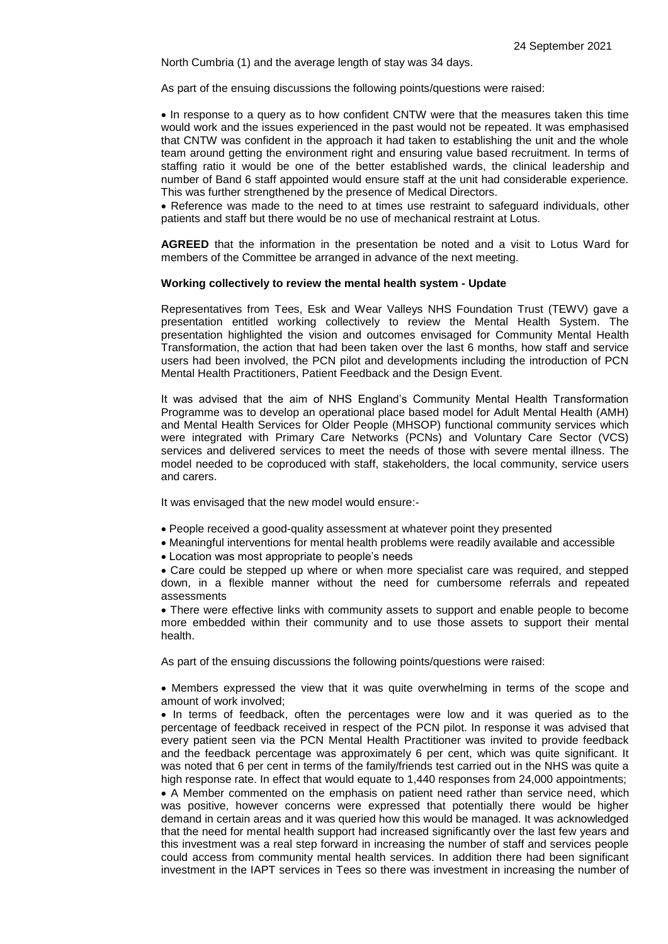North Cumbria (1) and the average length of stay was 34 days.

As part of the ensuing discussions the following points/questions were raised:

• In response to a query as to how confident CNTW were that the measures taken this time would work and the issues experienced in the past would not be repeated. It was emphasised that CNTW was confident in the approach it had taken to establishing the unit and the whole team around getting the environment right and ensuring value based recruitment. In terms of staffing ratio it would be one of the better established wards, the clinical leadership and number of Band 6 staff appointed would ensure staff at the unit had considerable experience. This was further strengthened by the presence of Medical Directors.

 Reference was made to the need to at times use restraint to safeguard individuals, other patients and staff but there would be no use of mechanical restraint at Lotus.

**AGREED** that the information in the presentation be noted and a visit to Lotus Ward for members of the Committee be arranged in advance of the next meeting.

#### **Working collectively to review the mental health system - Update**

Representatives from Tees, Esk and Wear Valleys NHS Foundation Trust (TEWV) gave a presentation entitled working collectively to review the Mental Health System. The presentation highlighted the vision and outcomes envisaged for Community Mental Health Transformation, the action that had been taken over the last 6 months, how staff and service users had been involved, the PCN pilot and developments including the introduction of PCN Mental Health Practitioners, Patient Feedback and the Design Event.

It was advised that the aim of NHS England's Community Mental Health Transformation Programme was to develop an operational place based model for Adult Mental Health (AMH) and Mental Health Services for Older People (MHSOP) functional community services which were integrated with Primary Care Networks (PCNs) and Voluntary Care Sector (VCS) services and delivered services to meet the needs of those with severe mental illness. The model needed to be coproduced with staff, stakeholders, the local community, service users and carers.

It was envisaged that the new model would ensure:-

- People received a good-quality assessment at whatever point they presented
- Meaningful interventions for mental health problems were readily available and accessible
- Location was most appropriate to people's needs

 Care could be stepped up where or when more specialist care was required, and stepped down, in a flexible manner without the need for cumbersome referrals and repeated assessments

 There were effective links with community assets to support and enable people to become more embedded within their community and to use those assets to support their mental health.

As part of the ensuing discussions the following points/questions were raised:

 Members expressed the view that it was quite overwhelming in terms of the scope and amount of work involved;

• In terms of feedback, often the percentages were low and it was queried as to the percentage of feedback received in respect of the PCN pilot. In response it was advised that every patient seen via the PCN Mental Health Practitioner was invited to provide feedback and the feedback percentage was approximately 6 per cent, which was quite significant. It was noted that 6 per cent in terms of the family/friends test carried out in the NHS was quite a high response rate. In effect that would equate to 1,440 responses from 24,000 appointments;

 A Member commented on the emphasis on patient need rather than service need, which was positive, however concerns were expressed that potentially there would be higher demand in certain areas and it was queried how this would be managed. It was acknowledged that the need for mental health support had increased significantly over the last few years and this investment was a real step forward in increasing the number of staff and services people could access from community mental health services. In addition there had been significant investment in the IAPT services in Tees so there was investment in increasing the number of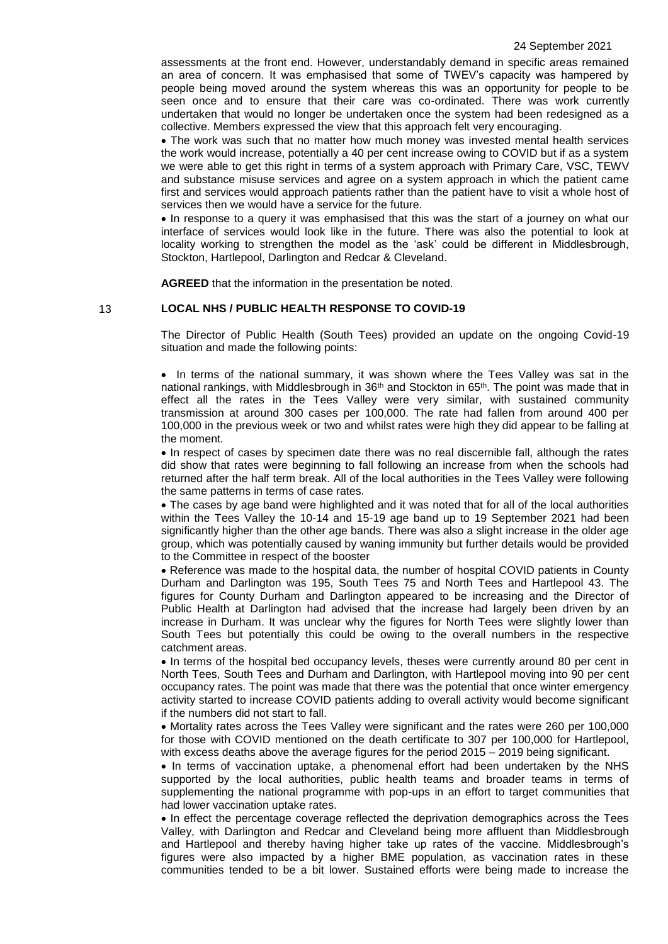assessments at the front end. However, understandably demand in specific areas remained an area of concern. It was emphasised that some of TWEV's capacity was hampered by people being moved around the system whereas this was an opportunity for people to be seen once and to ensure that their care was co-ordinated. There was work currently undertaken that would no longer be undertaken once the system had been redesigned as a collective. Members expressed the view that this approach felt very encouraging.

 The work was such that no matter how much money was invested mental health services the work would increase, potentially a 40 per cent increase owing to COVID but if as a system we were able to get this right in terms of a system approach with Primary Care, VSC, TEWV and substance misuse services and agree on a system approach in which the patient came first and services would approach patients rather than the patient have to visit a whole host of services then we would have a service for the future.

• In response to a query it was emphasised that this was the start of a journey on what our interface of services would look like in the future. There was also the potential to look at locality working to strengthen the model as the 'ask' could be different in Middlesbrough, Stockton, Hartlepool, Darlington and Redcar & Cleveland.

**AGREED** that the information in the presentation be noted.

13 **LOCAL NHS / PUBLIC HEALTH RESPONSE TO COVID-19**

The Director of Public Health (South Tees) provided an update on the ongoing Covid-19 situation and made the following points:

• In terms of the national summary, it was shown where the Tees Valley was sat in the national rankings, with Middlesbrough in 36<sup>th</sup> and Stockton in 65<sup>th</sup>. The point was made that in effect all the rates in the Tees Valley were very similar, with sustained community transmission at around 300 cases per 100,000. The rate had fallen from around 400 per 100,000 in the previous week or two and whilst rates were high they did appear to be falling at the moment.

 In respect of cases by specimen date there was no real discernible fall, although the rates did show that rates were beginning to fall following an increase from when the schools had returned after the half term break. All of the local authorities in the Tees Valley were following the same patterns in terms of case rates.

 The cases by age band were highlighted and it was noted that for all of the local authorities within the Tees Valley the 10-14 and 15-19 age band up to 19 September 2021 had been significantly higher than the other age bands. There was also a slight increase in the older age group, which was potentially caused by waning immunity but further details would be provided to the Committee in respect of the booster

 Reference was made to the hospital data, the number of hospital COVID patients in County Durham and Darlington was 195, South Tees 75 and North Tees and Hartlepool 43. The figures for County Durham and Darlington appeared to be increasing and the Director of Public Health at Darlington had advised that the increase had largely been driven by an increase in Durham. It was unclear why the figures for North Tees were slightly lower than South Tees but potentially this could be owing to the overall numbers in the respective catchment areas.

• In terms of the hospital bed occupancy levels, theses were currently around 80 per cent in North Tees, South Tees and Durham and Darlington, with Hartlepool moving into 90 per cent occupancy rates. The point was made that there was the potential that once winter emergency activity started to increase COVID patients adding to overall activity would become significant if the numbers did not start to fall.

 Mortality rates across the Tees Valley were significant and the rates were 260 per 100,000 for those with COVID mentioned on the death certificate to 307 per 100,000 for Hartlepool, with excess deaths above the average figures for the period 2015 – 2019 being significant.

• In terms of vaccination uptake, a phenomenal effort had been undertaken by the NHS supported by the local authorities, public health teams and broader teams in terms of supplementing the national programme with pop-ups in an effort to target communities that had lower vaccination uptake rates.

• In effect the percentage coverage reflected the deprivation demographics across the Tees Valley, with Darlington and Redcar and Cleveland being more affluent than Middlesbrough and Hartlepool and thereby having higher take up rates of the vaccine. Middlesbrough's figures were also impacted by a higher BME population, as vaccination rates in these communities tended to be a bit lower. Sustained efforts were being made to increase the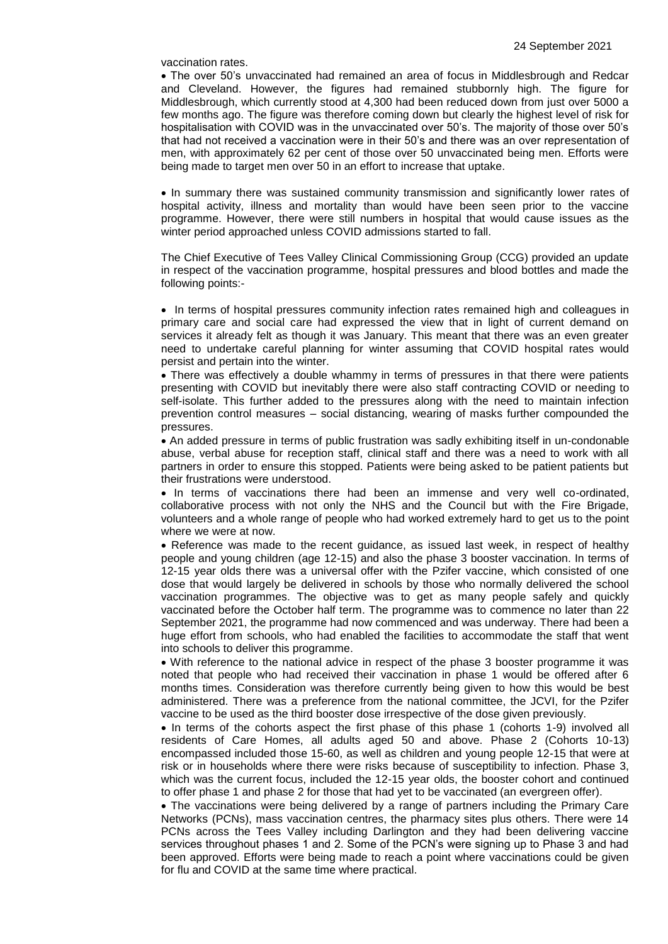vaccination rates.

 The over 50's unvaccinated had remained an area of focus in Middlesbrough and Redcar and Cleveland. However, the figures had remained stubbornly high. The figure for Middlesbrough, which currently stood at 4,300 had been reduced down from just over 5000 a few months ago. The figure was therefore coming down but clearly the highest level of risk for hospitalisation with COVID was in the unvaccinated over 50's. The majority of those over 50's that had not received a vaccination were in their 50's and there was an over representation of men, with approximately 62 per cent of those over 50 unvaccinated being men. Efforts were being made to target men over 50 in an effort to increase that uptake.

• In summary there was sustained community transmission and significantly lower rates of hospital activity, illness and mortality than would have been seen prior to the vaccine programme. However, there were still numbers in hospital that would cause issues as the winter period approached unless COVID admissions started to fall.

The Chief Executive of Tees Valley Clinical Commissioning Group (CCG) provided an update in respect of the vaccination programme, hospital pressures and blood bottles and made the following points:-

• In terms of hospital pressures community infection rates remained high and colleagues in primary care and social care had expressed the view that in light of current demand on services it already felt as though it was January. This meant that there was an even greater need to undertake careful planning for winter assuming that COVID hospital rates would persist and pertain into the winter.

• There was effectively a double whammy in terms of pressures in that there were patients presenting with COVID but inevitably there were also staff contracting COVID or needing to self-isolate. This further added to the pressures along with the need to maintain infection prevention control measures – social distancing, wearing of masks further compounded the pressures.

 An added pressure in terms of public frustration was sadly exhibiting itself in un-condonable abuse, verbal abuse for reception staff, clinical staff and there was a need to work with all partners in order to ensure this stopped. Patients were being asked to be patient patients but their frustrations were understood.

• In terms of vaccinations there had been an immense and very well co-ordinated, collaborative process with not only the NHS and the Council but with the Fire Brigade, volunteers and a whole range of people who had worked extremely hard to get us to the point where we were at now.

 Reference was made to the recent guidance, as issued last week, in respect of healthy people and young children (age 12-15) and also the phase 3 booster vaccination. In terms of 12-15 year olds there was a universal offer with the Pzifer vaccine, which consisted of one dose that would largely be delivered in schools by those who normally delivered the school vaccination programmes. The objective was to get as many people safely and quickly vaccinated before the October half term. The programme was to commence no later than 22 September 2021, the programme had now commenced and was underway. There had been a huge effort from schools, who had enabled the facilities to accommodate the staff that went into schools to deliver this programme.

 With reference to the national advice in respect of the phase 3 booster programme it was noted that people who had received their vaccination in phase 1 would be offered after 6 months times. Consideration was therefore currently being given to how this would be best administered. There was a preference from the national committee, the JCVI, for the Pzifer vaccine to be used as the third booster dose irrespective of the dose given previously.

• In terms of the cohorts aspect the first phase of this phase 1 (cohorts 1-9) involved all residents of Care Homes, all adults aged 50 and above. Phase 2 (Cohorts 10-13) encompassed included those 15-60, as well as children and young people 12-15 that were at risk or in households where there were risks because of susceptibility to infection. Phase 3, which was the current focus, included the 12-15 year olds, the booster cohort and continued to offer phase 1 and phase 2 for those that had yet to be vaccinated (an evergreen offer).

 The vaccinations were being delivered by a range of partners including the Primary Care Networks (PCNs), mass vaccination centres, the pharmacy sites plus others. There were 14 PCNs across the Tees Valley including Darlington and they had been delivering vaccine services throughout phases 1 and 2. Some of the PCN's were signing up to Phase 3 and had been approved. Efforts were being made to reach a point where vaccinations could be given for flu and COVID at the same time where practical.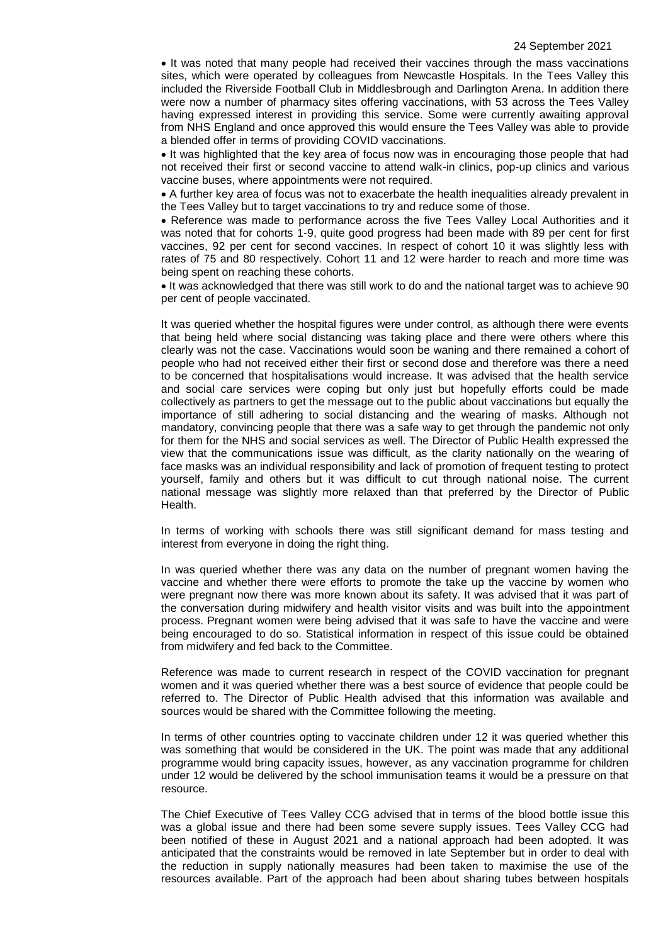• It was noted that many people had received their vaccines through the mass vaccinations sites, which were operated by colleagues from Newcastle Hospitals. In the Tees Valley this included the Riverside Football Club in Middlesbrough and Darlington Arena. In addition there were now a number of pharmacy sites offering vaccinations, with 53 across the Tees Valley having expressed interest in providing this service. Some were currently awaiting approval from NHS England and once approved this would ensure the Tees Valley was able to provide a blended offer in terms of providing COVID vaccinations.

 It was highlighted that the key area of focus now was in encouraging those people that had not received their first or second vaccine to attend walk-in clinics, pop-up clinics and various vaccine buses, where appointments were not required.

 A further key area of focus was not to exacerbate the health inequalities already prevalent in the Tees Valley but to target vaccinations to try and reduce some of those.

 Reference was made to performance across the five Tees Valley Local Authorities and it was noted that for cohorts 1-9, quite good progress had been made with 89 per cent for first vaccines, 92 per cent for second vaccines. In respect of cohort 10 it was slightly less with rates of 75 and 80 respectively. Cohort 11 and 12 were harder to reach and more time was being spent on reaching these cohorts.

 It was acknowledged that there was still work to do and the national target was to achieve 90 per cent of people vaccinated.

It was queried whether the hospital figures were under control, as although there were events that being held where social distancing was taking place and there were others where this clearly was not the case. Vaccinations would soon be waning and there remained a cohort of people who had not received either their first or second dose and therefore was there a need to be concerned that hospitalisations would increase. It was advised that the health service and social care services were coping but only just but hopefully efforts could be made collectively as partners to get the message out to the public about vaccinations but equally the importance of still adhering to social distancing and the wearing of masks. Although not mandatory, convincing people that there was a safe way to get through the pandemic not only for them for the NHS and social services as well. The Director of Public Health expressed the view that the communications issue was difficult, as the clarity nationally on the wearing of face masks was an individual responsibility and lack of promotion of frequent testing to protect yourself, family and others but it was difficult to cut through national noise. The current national message was slightly more relaxed than that preferred by the Director of Public Health.

In terms of working with schools there was still significant demand for mass testing and interest from everyone in doing the right thing.

In was queried whether there was any data on the number of pregnant women having the vaccine and whether there were efforts to promote the take up the vaccine by women who were pregnant now there was more known about its safety. It was advised that it was part of the conversation during midwifery and health visitor visits and was built into the appointment process. Pregnant women were being advised that it was safe to have the vaccine and were being encouraged to do so. Statistical information in respect of this issue could be obtained from midwifery and fed back to the Committee.

Reference was made to current research in respect of the COVID vaccination for pregnant women and it was queried whether there was a best source of evidence that people could be referred to. The Director of Public Health advised that this information was available and sources would be shared with the Committee following the meeting.

In terms of other countries opting to vaccinate children under 12 it was queried whether this was something that would be considered in the UK. The point was made that any additional programme would bring capacity issues, however, as any vaccination programme for children under 12 would be delivered by the school immunisation teams it would be a pressure on that resource.

The Chief Executive of Tees Valley CCG advised that in terms of the blood bottle issue this was a global issue and there had been some severe supply issues. Tees Valley CCG had been notified of these in August 2021 and a national approach had been adopted. It was anticipated that the constraints would be removed in late September but in order to deal with the reduction in supply nationally measures had been taken to maximise the use of the resources available. Part of the approach had been about sharing tubes between hospitals